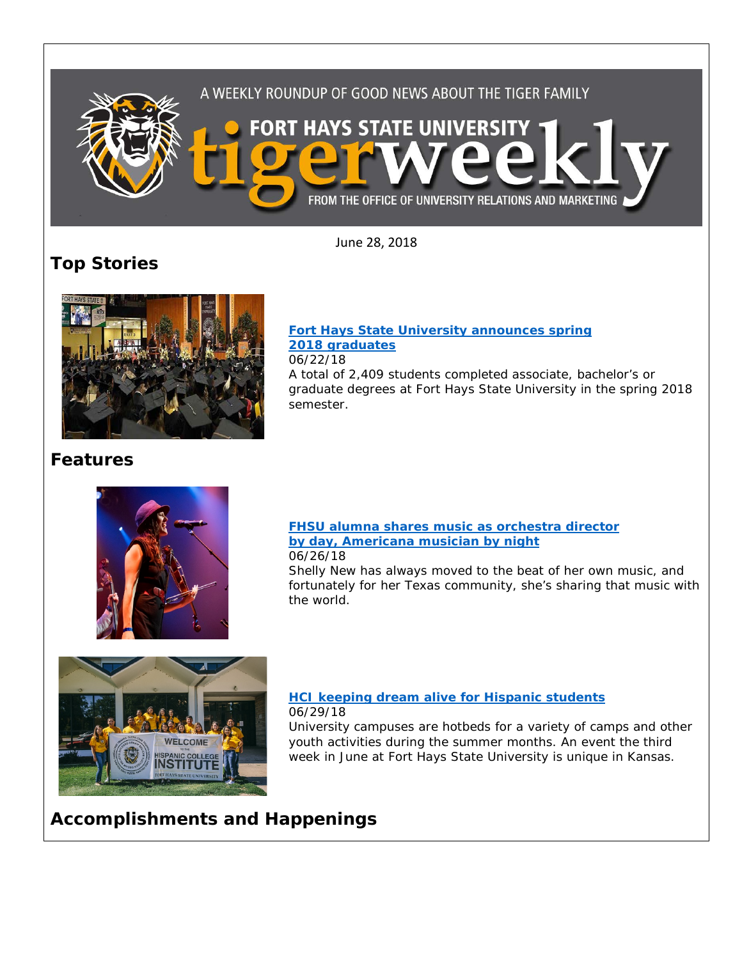

June 28, 2018

## **Top Stories**



### **[Fort Hays State University announces spring](https://www.fhsu.edu/news/2018/06/fort-hays-state-university-announces-spring-2018-graduates) [2018 graduates](https://www.fhsu.edu/news/2018/06/fort-hays-state-university-announces-spring-2018-graduates)** 06/22/18

A total of 2,409 students completed associate, bachelor's or graduate degrees at Fort Hays State University in the spring 2018 semester.

## **Features**



## **[FHSU alumna shares music as orchestra director](https://www.fhsu.edu/news/2018/06/fhsu-alumna-shares-music-as-orchestra-director-by-day,-americana-musician-by-night)  [by day, Americana musician by night](https://www.fhsu.edu/news/2018/06/fhsu-alumna-shares-music-as-orchestra-director-by-day,-americana-musician-by-night)** 06/26/18

Shelly New has always moved to the beat of her own music, and fortunately for her Texas community, she's sharing that music with the world.



## **[HCI keeping dream alive for Hispanic students](https://www.fhsu.edu/news/2018/06/fort-hays-states-hci-keeping-dream-alive-for-hispanic-students)** 06/29/18

University campuses are hotbeds for a variety of camps and other youth activities during the summer months. An event the third week in June at Fort Hays State University is unique in Kansas.

## **Accomplishments and Happenings**